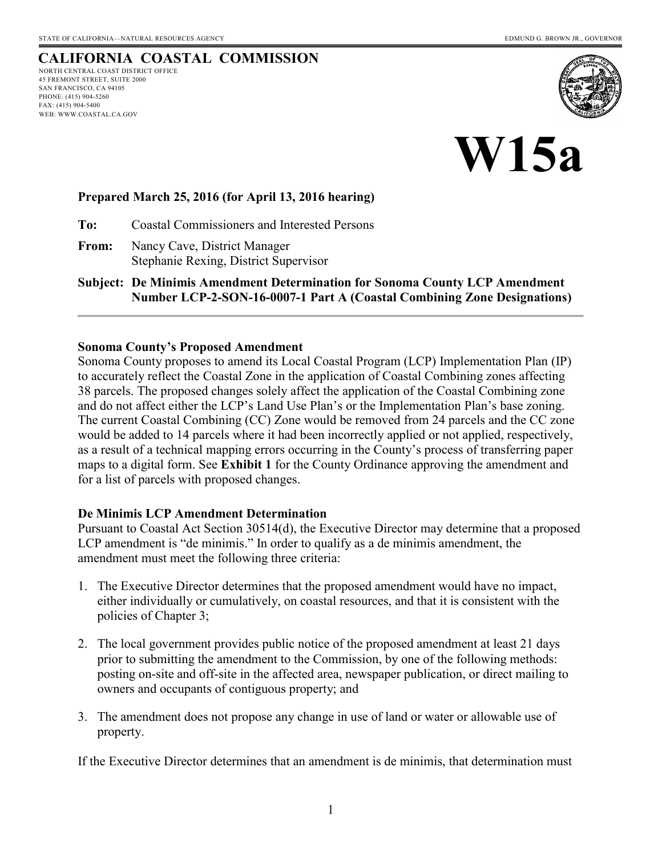#### **CALIFORNIA COASTAL COMMISSION** NORTH CENTRAL COAST DISTRICT OFFICE

45 FREMONT STREET, SUITE 2000 SAN FRANCISCO, CA 94105 PHONE: (415) 904-5260 FAX: (415) 904-5400 WEB: WWW.COASTAL.CA.GOV





#### **Prepared March 25, 2016 (for April 13, 2016 hearing)**

**To:** Coastal Commissioners and Interested Persons

**From:** Nancy Cave, District Manager Stephanie Rexing, District Supervisor

**Subject: De Minimis Amendment Determination for Sonoma County LCP Amendment Number LCP-2-SON-16-0007-1 Part A (Coastal Combining Zone Designations)** 

#### **Sonoma County's Proposed Amendment**

Sonoma County proposes to amend its Local Coastal Program (LCP) Implementation Plan (IP) to accurately reflect the Coastal Zone in the application of Coastal Combining zones affecting 38 parcels. The proposed changes solely affect the application of the Coastal Combining zone and do not affect either the LCP's Land Use Plan's or the Implementation Plan's base zoning. The current Coastal Combining (CC) Zone would be removed from 24 parcels and the CC zone would be added to 14 parcels where it had been incorrectly applied or not applied, respectively, as a result of a technical mapping errors occurring in the County's process of transferring paper maps to a digital form. See **Exhibit 1** for the County Ordinance approving the amendment and for a list of parcels with proposed changes.

#### **De Minimis LCP Amendment Determination**

Pursuant to Coastal Act Section 30514(d), the Executive Director may determine that a proposed LCP amendment is "de minimis." In order to qualify as a de minimis amendment, the amendment must meet the following three criteria:

- 1. The Executive Director determines that the proposed amendment would have no impact, either individually or cumulatively, on coastal resources, and that it is consistent with the policies of Chapter 3;
- 2. The local government provides public notice of the proposed amendment at least 21 days prior to submitting the amendment to the Commission, by one of the following methods: posting on-site and off-site in the affected area, newspaper publication, or direct mailing to owners and occupants of contiguous property; and
- 3. The amendment does not propose any change in use of land or water or allowable use of property.

If the Executive Director determines that an amendment is de minimis, that determination must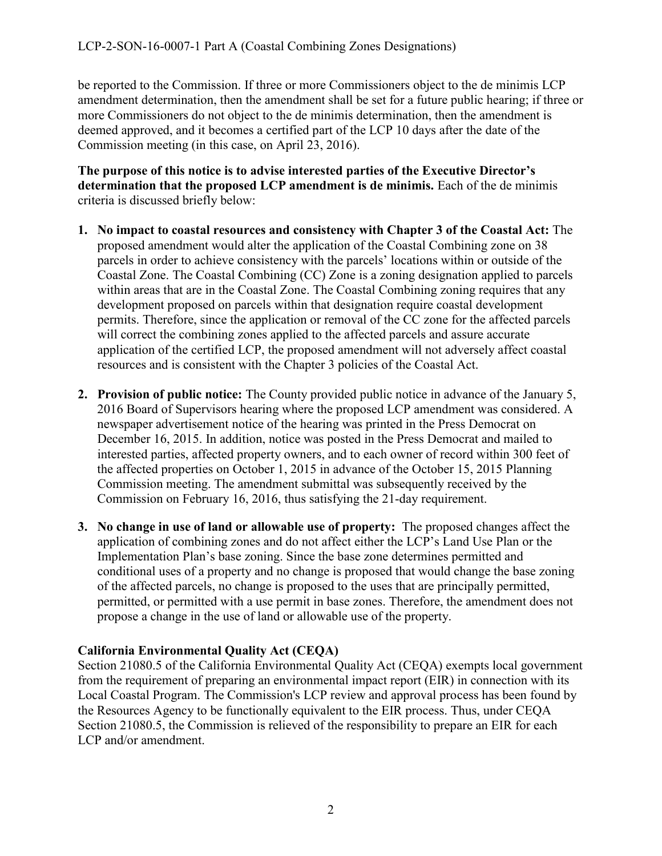be reported to the Commission. If three or more Commissioners object to the de minimis LCP amendment determination, then the amendment shall be set for a future public hearing; if three or more Commissioners do not object to the de minimis determination, then the amendment is deemed approved, and it becomes a certified part of the LCP 10 days after the date of the Commission meeting (in this case, on April 23, 2016).

**The purpose of this notice is to advise interested parties of the Executive Director's determination that the proposed LCP amendment is de minimis.** Each of the de minimis criteria is discussed briefly below:

- **1. No impact to coastal resources and consistency with Chapter 3 of the Coastal Act:** The proposed amendment would alter the application of the Coastal Combining zone on 38 parcels in order to achieve consistency with the parcels' locations within or outside of the Coastal Zone. The Coastal Combining (CC) Zone is a zoning designation applied to parcels within areas that are in the Coastal Zone. The Coastal Combining zoning requires that any development proposed on parcels within that designation require coastal development permits. Therefore, since the application or removal of the CC zone for the affected parcels will correct the combining zones applied to the affected parcels and assure accurate application of the certified LCP, the proposed amendment will not adversely affect coastal resources and is consistent with the Chapter 3 policies of the Coastal Act.
- **2. Provision of public notice:** The County provided public notice in advance of the January 5, 2016 Board of Supervisors hearing where the proposed LCP amendment was considered. A newspaper advertisement notice of the hearing was printed in the Press Democrat on December 16, 2015. In addition, notice was posted in the Press Democrat and mailed to interested parties, affected property owners, and to each owner of record within 300 feet of the affected properties on October 1, 2015 in advance of the October 15, 2015 Planning Commission meeting. The amendment submittal was subsequently received by the Commission on February 16, 2016, thus satisfying the 21-day requirement.
- **3. No change in use of land or allowable use of property:** The proposed changes affect the application of combining zones and do not affect either the LCP's Land Use Plan or the Implementation Plan's base zoning. Since the base zone determines permitted and conditional uses of a property and no change is proposed that would change the base zoning of the affected parcels, no change is proposed to the uses that are principally permitted, permitted, or permitted with a use permit in base zones. Therefore, the amendment does not propose a change in the use of land or allowable use of the property.

#### **California Environmental Quality Act (CEQA)**

Section 21080.5 of the California Environmental Quality Act (CEQA) exempts local government from the requirement of preparing an environmental impact report (EIR) in connection with its Local Coastal Program. The Commission's LCP review and approval process has been found by the Resources Agency to be functionally equivalent to the EIR process. Thus, under CEQA Section 21080.5, the Commission is relieved of the responsibility to prepare an EIR for each LCP and/or amendment.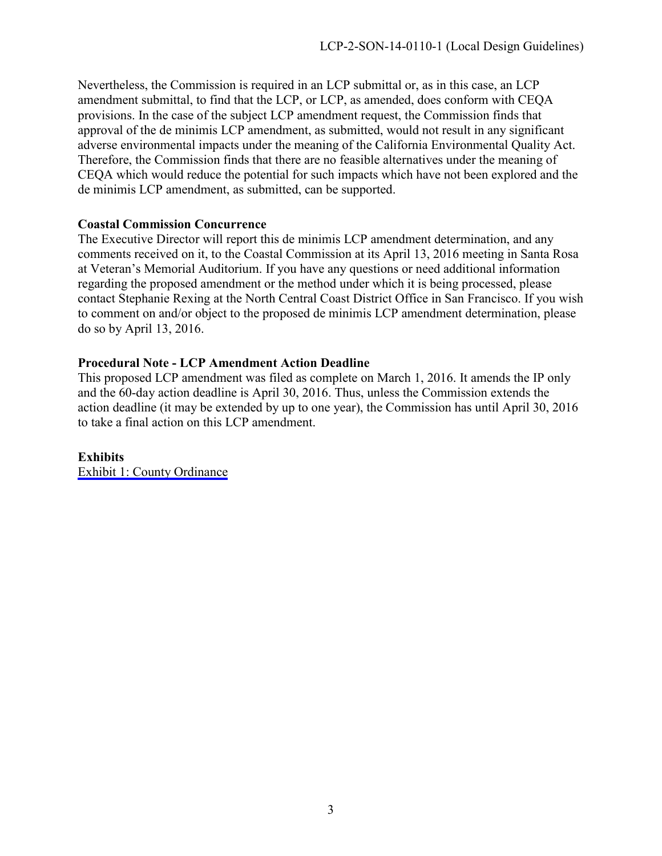Nevertheless, the Commission is required in an LCP submittal or, as in this case, an LCP amendment submittal, to find that the LCP, or LCP, as amended, does conform with CEQA provisions. In the case of the subject LCP amendment request, the Commission finds that approval of the de minimis LCP amendment, as submitted, would not result in any significant adverse environmental impacts under the meaning of the California Environmental Quality Act. Therefore, the Commission finds that there are no feasible alternatives under the meaning of CEQA which would reduce the potential for such impacts which have not been explored and the de minimis LCP amendment, as submitted, can be supported.

#### **Coastal Commission Concurrence**

The Executive Director will report this de minimis LCP amendment determination, and any comments received on it, to the Coastal Commission at its April 13, 2016 meeting in Santa Rosa at Veteran's Memorial Auditorium. If you have any questions or need additional information regarding the proposed amendment or the method under which it is being processed, please contact Stephanie Rexing at the North Central Coast District Office in San Francisco. If you wish to comment on and/or object to the proposed de minimis LCP amendment determination, please do so by April 13, 2016.

#### **Procedural Note - LCP Amendment Action Deadline**

This proposed LCP amendment was filed as complete on March 1, 2016. It amends the IP only and the 60-day action deadline is April 30, 2016. Thus, unless the Commission extends the action deadline (it may be extended by up to one year), the Commission has until April 30, 2016 to take a final action on this LCP amendment.

#### **Exhibits**

[Exhibit 1: County Ordinance](#page-3-0)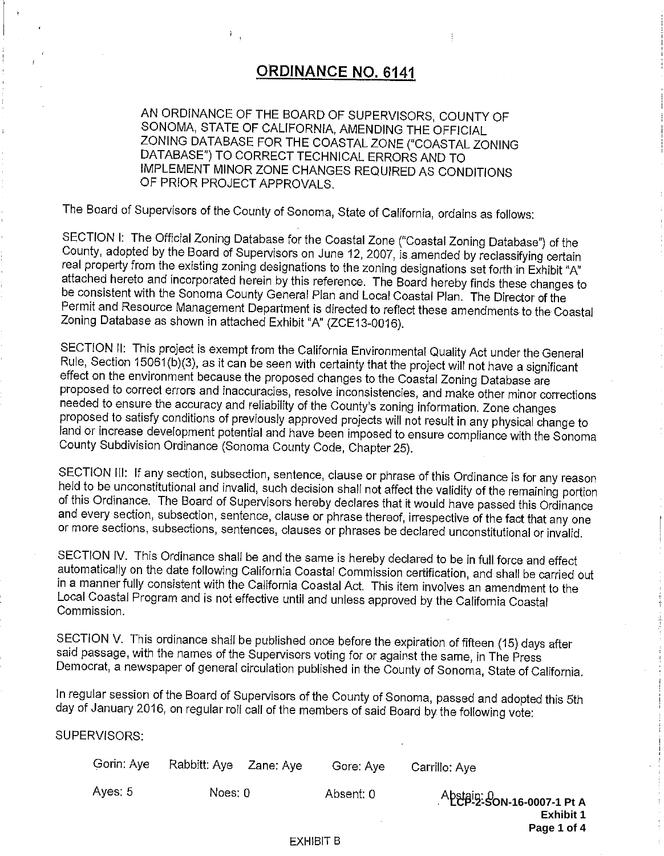### **ORDINANCE NO. 6141**

<span id="page-3-0"></span>AN ORDINANCE OF THE BOARD OF SUPERVISORS, COUNTY OF SONOMA, STATE OF CALIFORNIA, AMENDING THE OFFICIAL ZONING DATABASE FOR THE COASTAL ZONE ("COASTAL ZONING DATABASE") TO CORRECT TECHNICAL ERRORS AND TO IMPLEMENT MINOR ZONE CHANGES REQUIRED AS CONDITIONS OF PRIOR PROJECT APPROVALS.

The Board of Supervisors of the County of Sonoma, State of California, ordains as follows:

SECTION I: The Official Zoning Database for the Coastal Zone ("Coastal Zoning Database") of the County, adopted by the Board of Supervisors on June 12, 2007, is amended by reclassifying certain real property from the existing zoning designations to the zoning designations set forth in Exhibit "A" attached hereto and incorporated herein by this reference. The Board hereby finds these changes to be consistent with the Sonoma County General Plan and Local Coastal Plan. The Director of the Permit and Resource Management Department is directed to reflect these amendments to the Coastal Zoning Database as shown in attached Exhibit "A" (ZCE13-0016).

SECTION II: This project is exempt from the California Environmental Quality Act under the General Rule, Section 15061(b)(3), as it can be seen with certainty that the project will not have a significant effect on the environment because the proposed changes to the Coastal Zoning Database are proposed to correct errors and inaccuracies, resolve inconsistencies, and make other minor corrections needed to ensure the accuracy and reliability of the County's zoning information. Zone changes proposed to satisfy conditions of previously approved projects will not result in any physical change to land or increase development potential and have been imposed to ensure compliance with the Sonoma County Subdivision Ordinance (Sonoma County Code, Chapter 25).

SECTION III: If any section, subsection, sentence, clause or phrase of this Ordinance is for any reason held to be unconstitutional and invalid, such decision shall not affect the validity of the remaining portion of this Ordinance. The Board of Supervisors hereby declares that it would have passed this Ordinance and every section, subsection, sentence, clause or phrase thereof, irrespective of the fact that any one or more sections, subsections, sentences, clauses or phrases be declared unconstitutional or invalid.

SECTION IV. This Ordinance shall be and the same is hereby declared to be in full force and effect automatically on the date following California Coastal Commission certification, and shall be carried out in a manner fully consistent with the California Coastal Act. This item involves an amendment to the Local Coastal Program and is not effective until and unless approved by the California Coastal Commission.

SECTION V. This ordinance shall be published once before the expiration of fifteen (15) days after said passage, with the names of the Supervisors voting for or against the same, in The Press Democrat, a newspaper of general circulation published in the County of Sonoma, State of California.

In regular session of the Board of Supervisors of the County of Sonoma, passed and adopted this 5th day of January 2016, on regular roll call of the members of said Board by the following vote:

SUPERVISORS:

| Gorin: Ayel | Rabbitt: Aye Zane: Aye | Gore: Ave | Carrillo: Aye                                                                    |
|-------------|------------------------|-----------|----------------------------------------------------------------------------------|
| Aves: 5     | Noes: 0                | Absent: 0 | Abstain: 0<br><b>LCP-2-SON-16-0007-1 Pt A</b><br><b>Exhibit 1</b><br>Page 1 of 4 |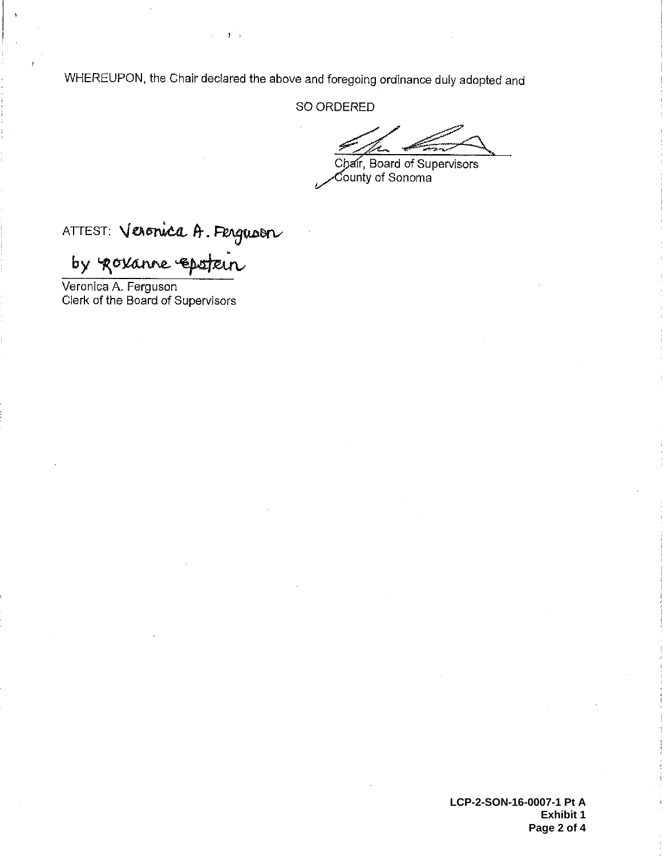WHEREUPON, the Chair declared the above and foregoing ordinance duly adopted and

 $\mathbf{y}$ 

SO ORDERED

Chair, Board of Supervisors  $\check{\mathrm{Count}}$ y of Sonoma

# ATTEST: Veronica A. Ferguson

by govanne epstein

Veronica A. Ferguson<br>Clerk of the Board of Supervisors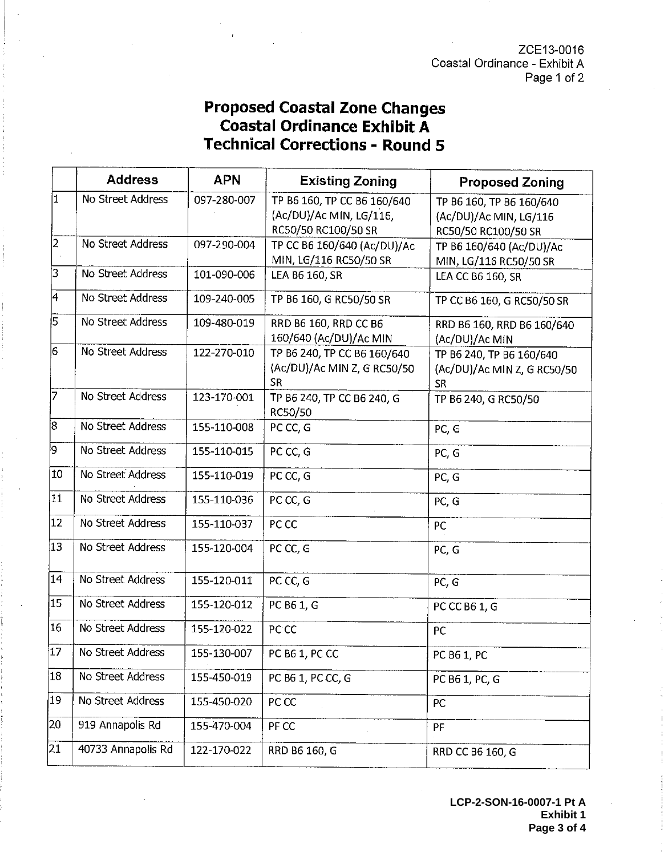ZCE13-0016 Coastal Ordinance - Exhibit A Page 1 of 2

## **Proposed Coastal Zone Changes Coastal Ordinance Exhibit A Technical Corrections - Round 5**

|    | <b>Address</b>     | <b>APN</b>  | <b>Existing Zoning</b>                                                        | <b>Proposed Zoning</b>                                                    |
|----|--------------------|-------------|-------------------------------------------------------------------------------|---------------------------------------------------------------------------|
| İ1 | No Street Address  | 097-280-007 | TP B6 160, TP CC B6 160/640<br>(Ac/DU)/Ac MIN, LG/116,<br>RC50/50 RC100/50 SR | TP B6 160, TP B6 160/640<br>(Ac/DU)/Ac MIN, LG/116<br>RC50/50 RC100/50 SR |
| 2  | No Street Address  | 097-290-004 | TP CC B6 160/640 (Ac/DU)/Ac<br>MIN, LG/116 RC50/50 SR                         | TP B6 160/640 (Ac/DU)/Ac<br>MIN, LG/116 RC50/50 SR                        |
| 3  | No Street Address  | 101-090-006 | LEA B6 160, SR                                                                | LEA CC B6 160, SR                                                         |
| 4  | No Street Address  | 109-240-005 | TP B6 160, G RC50/50 SR                                                       | TP CC B6 160, G RC50/50 SR                                                |
| 15 | No Street Address  | 109-480-019 | RRD B6 160, RRD CC B6<br>160/640 (Ac/DU)/Ac MIN                               | RRD B6 160, RRD B6 160/640<br>(Ac/DU)/Ac MIN                              |
| 6  | No Street Address  | 122-270-010 | TP B6 240, TP CC B6 160/640<br>(Ac/DU)/Ac MIN Z, G RC50/50<br><b>SR</b>       | TP B6 240, TP B6 160/640<br>(Ac/DU)/Ac MIN Z, G RC50/50<br><b>SR</b>      |
| 17 | No Street Address  | 123-170-001 | TP B6 240, TP CC B6 240, G<br>RC50/50                                         | TP B6 240, G RC50/50                                                      |
| 8  | No Street Address  | 155-110-008 | PC CC, G                                                                      | PC, G                                                                     |
| 9  | No Street Address  | 155-110-015 | PC CC, G                                                                      | PC, G                                                                     |
| 10 | No Street Address  | 155-110-019 | PC CC, G                                                                      | PC, G                                                                     |
| 11 | No Street Address  | 155-110-036 | PC CC, G                                                                      | PC, G                                                                     |
| 12 | No Street Address  | 155-110-037 | PC CC                                                                         | PC                                                                        |
| 13 | No Street Address  | 155-120-004 | PC CC, G                                                                      | PC, G                                                                     |
| 14 | No Street Address  | 155-120-011 | PC CC, G                                                                      | PC, G                                                                     |
| 15 | No Street Address  | 155-120-012 | PC B6 1, G                                                                    | PC CC B6 1, G                                                             |
| 16 | No Street Address  | 155-120-022 | PC CC                                                                         | PC                                                                        |
| 17 | No Street Address  | 155-130-007 | PC B6 1, PC CC                                                                | PC B6 1, PC                                                               |
| 18 | No Street Address  | 155-450-019 | PC B6 1, PC CC, G                                                             | PC B6 1, PC, G                                                            |
| 19 | No Street Address  | 155-450-020 | PC <sub>CC</sub>                                                              | PC                                                                        |
| 20 | 919 Annapolis Rd   | 155-470-004 | PF CC                                                                         | PF                                                                        |
| 21 | 40733 Annapolis Rd | 122-170-022 | RRD B6 160, G                                                                 | RRD CC B6 160, G                                                          |